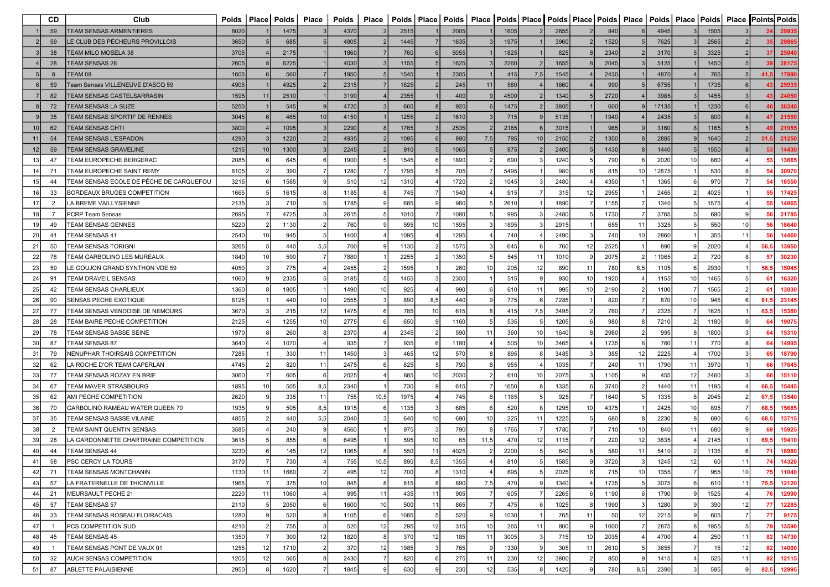|                 | <b>CD</b>      | Club                                    |      |                | Poids   Place   Poids | Place           | <b>Poids</b> | Place |      |     |      |                 |      | Poids   Place   Poids   Place   Poids   Place   Poids   Place   Poids   Place   Poids   Place   Poids   Place   Points   Poids |    |      |     |       |    |      |    |                 |          |
|-----------------|----------------|-----------------------------------------|------|----------------|-----------------------|-----------------|--------------|-------|------|-----|------|-----------------|------|--------------------------------------------------------------------------------------------------------------------------------|----|------|-----|-------|----|------|----|-----------------|----------|
|                 | 59             | <b>TEAM SENSAS ARMENTIERES</b>          | 8020 |                | 1475                  |                 | 4370         |       | 2515 |     | 2005 |                 | 1605 | 2655                                                                                                                           |    | 840  |     | 4945  |    | 1505 |    |                 | 2993     |
|                 | 59             | LE CLUB DES PËCHEURS PROVILLOIS         | 3650 |                | 685                   |                 | 4805         |       | 1445 |     | 1635 |                 | 1975 | 3960                                                                                                                           |    | 1520 |     | 7625  |    | 2565 |    |                 | 2986     |
|                 | 38             | TEAM MILO MOSELA 38                     | 3705 |                | 2175                  |                 | 1860         |       | 760  |     | 5055 |                 | 1825 | 825                                                                                                                            |    | 2340 |     | 3170  |    | 3325 |    | 37 <sup>1</sup> | 25040    |
|                 | 28             | TEAM SENSAS 28                          | 2605 |                | 6225                  |                 | 4030         |       | 1155 |     | 1625 |                 | 2260 | 1655                                                                                                                           |    | 2045 |     | 5125  |    | 1450 |    | -39             | 28175    |
|                 | 8              | TEAM 08                                 | 1605 |                | 560                   |                 | 1950         |       | 1545 |     | 2305 |                 | 415  | 1545<br>7,5                                                                                                                    |    | 2430 |     | 4870  |    | 765  |    | 41.5            | 1799     |
|                 | 59             | Feam Sensas VILLENEUVE D'ASCQ 59        | 4905 |                | 4925                  |                 | 2315         |       | 1825 |     | 245  | 11              | 580  | 1660                                                                                                                           |    | 990  |     | 6755  |    | 1735 |    |                 | 2593     |
|                 | 82             | <b>TEAM SENSAS CASTELSARRASIN</b>       | 1595 | 11             | 2510                  |                 | 3190         |       | 2355 |     | 400  |                 | 4500 | 1340                                                                                                                           |    | 2720 |     | 3985  |    | 1455 |    |                 | 2405     |
|                 | 72             | TEAM SENSAS LA SUZE                     | 5250 |                | 545                   |                 | 4720         |       | 660  |     | 920  |                 | 1475 | 3805                                                                                                                           |    | 600  |     | 17135 |    | 1230 |    |                 | 36340    |
|                 | 35             | <b>TEAM SENSAS SPORTIF DE RENNES</b>    | 3045 |                | 465                   | 10              | 4150         |       | 1255 |     | 1610 |                 | 715  | 5135                                                                                                                           |    | 1940 |     | 2435  |    | 800  |    | 47              | 21550    |
|                 | 62             | <b>TEAM SENSAS CHTI</b>                 | 3800 |                | 1095                  |                 | 2290         |       | 1765 |     | 2535 |                 | 2165 | 3015                                                                                                                           |    | 965  |     | 3160  |    | 1165 |    |                 | 2195     |
|                 | 54             | TEAM SENSAS L'ESPADON                   | 4290 |                | 1220                  |                 | 4935         |       | 1095 |     | 890  | 7,5             | 795  | 2150<br>10                                                                                                                     |    | 1350 |     | 2885  |    | 1640 |    | 51,5            | 21250    |
| 12 <sup>1</sup> | 59             | <b>FEAM SENSAS GRAVELINE</b>            | 1215 | 10             | 1300                  |                 | 2245         |       | 910  |     | 1065 |                 | 875  | 2400                                                                                                                           |    | 1430 |     | 1440  |    | 1550 |    |                 | 14430    |
| 13              | 47             | TEAM EUROPECHE BERGERAC                 | 2085 |                | 645                   |                 | 1900         |       | 1545 |     | 1890 |                 | 690  | 1240                                                                                                                           |    | 790  |     | 2020  | 10 | 860  |    | 53              | 13665    |
| -14             | 71             | TEAM EUROPECHE SAINT REMY               | 6105 |                | 390                   |                 | 1280         |       | 1795 |     | 705  |                 | 5495 | 980                                                                                                                            |    | 815  | 10  | 12875 |    | 530  |    | 54              | 30970    |
| -15             | 44             | TEAM SENSAS ECOLE DE PÊCHE DE CARQUEFOU | 3215 |                | 1585                  |                 | 510          | 12    | 1310 |     | 1720 |                 | 1045 | 2480                                                                                                                           |    | 4350 |     | 1365  |    | 970  |    | 54              | 18550    |
|                 | 33             | BORDEAUX BRUGES COMPETITION             | 1665 |                | 1615                  |                 | 1185         |       | 745  |     | 1540 |                 | 915  | 315                                                                                                                            | 12 | 2955 |     | 2465  |    | 4025 |    |                 | 17425    |
| 17              | 2              |                                         | 2135 |                | 710                   |                 | 1785         |       | 685  |     | 980  |                 | 2610 | 1890                                                                                                                           |    |      |     | 1340  |    | 1575 |    | 55              |          |
|                 |                | LA BREME VAILLYSIENNE                   |      |                | 4725                  |                 | 2615         |       |      |     |      |                 |      | 2480                                                                                                                           |    | 1155 |     | 3765  |    | 690  |    |                 | 14865    |
| 18              | $\overline{7}$ | <b>PCRP Team Sensas</b>                 | 2695 |                |                       |                 |              |       | 1010 |     | 1080 |                 | 995  |                                                                                                                                |    | 1730 |     |       |    |      |    | 56              | 21785    |
| 19              | 49             | <b>TEAM SENSAS GENNES</b>               | 5220 |                | 1130                  |                 | 760          |       | 595  | 10  | 1595 |                 | 1895 | 2915                                                                                                                           |    | 655  | 11  | 3325  |    | 550  | 10 | 56              | 18640    |
| 20              | 41             | <b>TEAM SENSAS 41</b>                   | 2540 | 10             | 945                   |                 | 1400         |       | 1095 |     | 1295 |                 | 740  | 2490                                                                                                                           |    | 740  | 10  | 2860  |    | 355  | 11 | 56              | 14460    |
| 21              | 50             | <b>TEAM SENSAS TORIGNI</b>              | 3265 |                | 440                   | 5,5             | 700          |       | 1130 |     | 1575 |                 | 645  | 760                                                                                                                            | 12 | 2525 |     | 890   |    | 2020 |    | 56,5            | 13950    |
| 22              | 78             | TEAM GARBOLINO LES MUREAUX              | 1840 | 10             | 590                   |                 | 7880         |       | 2255 |     | 1350 |                 | 545  | 1010<br>11                                                                                                                     |    | 2075 |     | 11965 |    | 720  |    |                 | 30230    |
| 23              | 59             | E GOUJON GRAND SYNTHON VDE 59           | 4050 |                | 775                   |                 | 2455         |       | 1595 |     | 260  | 10 <sup>1</sup> | 205  | 890<br>12                                                                                                                      | 11 | 780  | 8,5 | 1105  |    | 2930 |    | 58,5            | 1504     |
| 24              | 91             | TEAM DRAVEIL SENSAS                     | 1060 |                | 2335                  |                 | 3185         |       | 1455 |     | 2300 |                 | 515  | 930                                                                                                                            | 10 | 1920 |     | 1155  | 10 | 1465 |    | 61              | 16320    |
| 25              | 42             | TEAM SENSAS CHARLIEUX                   | 1360 |                | 1805                  |                 | 1490         | 10    | 925  |     | 990  |                 | 610  | 995<br>11                                                                                                                      | 10 | 2190 |     | 1100  |    | 1565 |    | 61              | 13030    |
| 26              | 90             | <b>SENSAS PECHE EXOTIQUE</b>            | 8125 |                | 440                   | 10 <sup>1</sup> | 2555         |       | 890  | 8,5 | 440  |                 | 775  | 7285                                                                                                                           |    | 820  |     | 870   | 10 | 945  |    | 61,5            | 23145    |
| 27              | 77             | TEAM SENSAS VENDOISE DE NEMOURS         | 3670 |                | 215                   | 12              | 1475         |       | 785  | 10  | 615  |                 | 415  | 7,5<br>3495                                                                                                                    |    | 760  |     | 2325  |    | 1625 |    | 63,5            | 15380    |
| 28              | 28             | TEAM BAIRE PECHE COMPETITION            | 2125 |                | 1255                  | 10              | 2775         |       | 650  |     | 1160 |                 | 535  | 1205                                                                                                                           |    | 980  |     | 7210  |    | 1180 |    | 64              | 19075    |
| 29              | 78             | TEAM SENSAS BASSE SEINE                 | 1970 |                | 260                   |                 | 2370         |       | 2345 |     | 590  | 11              | 360  | 1640<br>10                                                                                                                     |    | 2980 |     | 995   |    | 1800 |    | 64              | 15310    |
| 30              | 87             | TEAM SENSAS 87                          | 3640 |                | 1070                  |                 | 935          |       | 935  |     | 1180 |                 | 505  | 3465                                                                                                                           |    | 1735 |     | 760   | 11 | 770  |    | 64              | 14995    |
| 31              | 79             | <b>NENUPHAR THOIRSAIS COMPETITION</b>   | 7285 |                | 330                   | 11              | 1450         |       | 465  | 12  | 570  |                 | 895  | 3485                                                                                                                           |    | 385  | 12  | 2225  |    | 1700 |    | 65              | 18790    |
| 32              | 62             | A ROCHE D'OR TEAM CAPERLAN              | 4745 |                | 820                   | 11              | 2475         |       | 825  |     | 790  |                 | 955  | 1035                                                                                                                           |    | 240  | 11  | 1790  | 11 | 3970 |    | 66              | 17645    |
| 33              | 77             | TEAM SENSAS ROZAY EN BRIE               | 3060 |                | 605                   |                 | 2025         |       | 685  | 10  | 2030 |                 | 610  | 2075                                                                                                                           |    | 1105 |     | 455   | 12 | 2460 |    | 66              | 15110    |
| 34              | 67             | TEAM MAVER STRASBOURG                   | 1895 | 10             | 505                   | 8,5             | 2340         |       | 730  |     | 615  |                 | 1650 | 1335                                                                                                                           |    | 3740 |     | 1440  | 11 | 1195 |    | 66,5            | 1544     |
| 35              | 62             | AMI PECHE COMPETITION                   | 2620 |                | 335                   | 11              | 755          | 10,5  | 1975 |     | 745  |                 | 1165 | 925                                                                                                                            |    | 1640 |     | 1335  |    | 2045 |    | 67,5            | 13540    |
| 36              | 70             | GARBOLINO RAMEAU WATER QUEEN 70         | 1935 |                | 505                   | 8,5             | 1915         |       | 1135 |     | 685  |                 | 520  | 1295                                                                                                                           | 10 | 4375 |     | 2425  | 10 | 895  |    | 68.5            | 15685    |
| 37              | 35             | TEAM SENSAS BASSE VILAINE               | 4855 |                | 440                   | 5,5             | 2040         |       | 640  | 10  | 690  | 10 <sup>1</sup> | 225  | 1225                                                                                                                           |    | 680  |     | 2230  |    | 690  |    | 68,5            | 13715    |
| 38              | $\overline{2}$ | TEAM SAINT QUENTIN SENSAS               | 3585 |                | 240                   |                 | 4560         |       | 975  |     | 790  |                 | 1765 | 1780                                                                                                                           |    | 710  | 10  | 840   | 11 | 680  |    |                 | 15925    |
| 39              | 28             | A GARDONNETTE CHARTRAINE COMPETITION    | 3615 |                | 855                   |                 | 6495         |       | 595  | 10  | 65   | 11,5            | 470  | 1115<br>12                                                                                                                     |    | 220  | 12  | 3835  |    | 2145 |    | 69,5            | 19410    |
| 40              | 44             | <b>TEAM SENSAS 44</b>                   | 3230 |                | 145                   | 12              | 1065         |       | 550  | 11  | 4025 |                 | 2200 | 640                                                                                                                            |    | 580  | 11  | 5410  |    | 1135 | 6  | 71              | 18980    |
| 41              | 58             | PSC CERCY LA TOURS                      | 3170 |                | 730                   |                 | 755          | 10,5  | 890  | 8,5 | 1355 |                 | 810  | 1585                                                                                                                           |    | 3720 |     | 1245  | 12 | 60   | 11 | 74              | 14320    |
| 42              | 71             | <b>TEAM SENSAS MONTCHANIN</b>           | 1130 | 11             | 1660                  | $\mathcal{P}$   | 495          | 12    | 700  |     | 1310 |                 | 695  | 2025                                                                                                                           |    | 715  | 10  | 1355  |    | 955  | 10 |                 | 75 11040 |
| 43              | 57             | LA FRATERNELLE DE THIONVILLE            | 1965 | $\overline{7}$ | 375                   | 10              | 845          |       | 815  |     | 890  | 7,5             | 470  | 1340                                                                                                                           |    | 1735 |     | 3075  | -6 | 610  | 11 | 75,5            | 12120    |
| 44              | 21             | MEURSAULT PECHE 21                      | 2220 | 11             | 1060                  |                 | 995          | 11    | 435  | 11  | 905  |                 | 605  | 2265                                                                                                                           |    | 1190 |     | 1790  |    | 1525 |    | 76              | 12990    |
| 45              | 57             | TEAM SENSAS 57                          | 2110 |                | 2050                  |                 | 1600         | 10    | 500  | 11  | 865  |                 | 475  | 1025                                                                                                                           |    | 1990 |     | 1280  |    | 390  | 12 | 77              | 12285    |
| 46              | 33             | TEAM SENSAS ROSEAU FLOIRACAIS           | 1280 |                | 520                   |                 | 1105         |       | 1085 |     | 520  |                 | 1030 | 765                                                                                                                            | 11 | 50   | 12  | 2215  |    | 605  |    | 77              | 9175     |
| 47              | $\overline{1}$ | PCS COMPETITION SUD                     | 4210 |                | 755                   |                 | 520          | 12    | 295  | 12  | 315  | 10              | 265  | 800<br>11                                                                                                                      |    | 1600 |     | 2875  |    | 1955 |    | 79              | 13590    |
| 48              | 45             | TEAM SENSAS 45                          | 1350 | 7              | 300                   | 12              | 1820         |       | 370  | 12  | 185  | 11              | 3005 | 715                                                                                                                            | 10 | 2035 |     | 4700  |    | 250  | 11 | 82              | 14730    |
| 49              | $\mathbf{1}$   | TEAM SENSAS PONT DE VAUX 01             | 1255 | 12             | 1710                  |                 | 370          | 12    | 1985 |     | 765  |                 | 1330 | 305                                                                                                                            | 11 | 2610 |     | 3655  |    | 15   | 12 | 82              | 14000    |
| 50              | 32             | AUCH SENSAS COMPETITION                 | 1205 | 12             | 565                   |                 | 2430         |       | 820  |     | 275  | 11              | 230  | 3800<br>12                                                                                                                     |    | 850  |     | 1415  |    | 525  | 11 | 82              | 12115    |
| 51              | 87             | ABLETTE PALAISIENNE                     | 2950 |                | 1620                  |                 | 1845         |       | 630  |     | 230  | 12              | 535  | 1420                                                                                                                           |    | 780  | 8,5 | 2390  | -3 | 595  | 9  | 82,5            | 12995    |